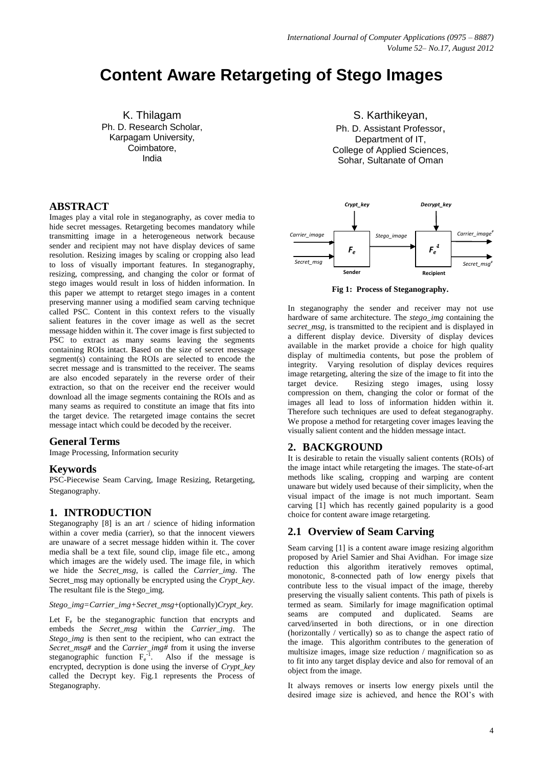# **Content Aware Retargeting of Stego Images**

K. Thilagam Ph. D. Research Scholar, Karpagam University, Coimbatore, India

## **ABSTRACT**

Images play a vital role in steganography, as cover media to hide secret messages. Retargeting becomes mandatory while transmitting image in a heterogeneous network because sender and recipient may not have display devices of same resolution. Resizing images by scaling or cropping also lead to loss of visually important features. In steganography, resizing, compressing, and changing the color or format of stego images would result in loss of hidden information. In this paper we attempt to retarget stego images in a content preserving manner using a modified seam carving technique called PSC. Content in this context refers to the visually salient features in the cover image as well as the secret message hidden within it. The cover image is first subjected to PSC to extract as many seams leaving the segments containing ROIs intact. Based on the size of secret message segment(s) containing the ROIs are selected to encode the secret message and is transmitted to the receiver. The seams are also encoded separately in the reverse order of their extraction, so that on the receiver end the receiver would download all the image segments containing the ROIs and as many seams as required to constitute an image that fits into the target device. The retargeted image contains the secret message intact which could be decoded by the receiver.

#### **General Terms**

Image Processing, Information security

## **Keywords**

PSC-Piecewise Seam Carving, Image Resizing, Retargeting, Steganography.

## **1. INTRODUCTION**

Steganography [8] is an art / science of hiding information within a cover media (carrier), so that the innocent viewers are unaware of a secret message hidden within it. The cover media shall be a text file, sound clip, image file etc., among which images are the widely used. The image file, in which we hide the *Secret\_msg*, is called the *Carrier\_img*. The Secret\_msg may optionally be encrypted using the *Crypt\_key*. The resultant file is the Stego\_img.

*Stego\_img=Carrier\_img+Secret\_msg*+(optionally)*Crypt\_key.*

Let  $F_e$  be the steganographic function that encrypts and embeds the *Secret\_msg* within the *Carrier\_img*. The *Stego\_img* is then sent to the recipient, who can extract the *Secret\_msg#* and the *Carrier\_img#* from it using the inverse steganographic function  $F_e^{-1}$ . Also if the message is encrypted, decryption is done using the inverse of *Crypt\_key* called the Decrypt key. Fig.1 represents the Process of Steganography.

S. Karthikeyan, Ph. D. Assistant Professor, Department of IT, College of Applied Sciences, Sohar, Sultanate of Oman



**Fig 1: Process of Steganography.**

In steganography the sender and receiver may not use hardware of same architecture. The *stego img* containing the *secret msg,* is transmitted to the recipient and is displayed in a different display device. Diversity of display devices available in the market provide a choice for high quality display of multimedia contents, but pose the problem of integrity. Varying resolution of display devices requires image retargeting, altering the size of the image to fit into the target device. Resizing stego images, using lossy compression on them, changing the color or format of the images all lead to loss of information hidden within it. Therefore such techniques are used to defeat steganography. We propose a method for retargeting cover images leaving the visually salient content and the hidden message intact.

#### **2. BACKGROUND**

It is desirable to retain the visually salient contents (ROIs) of the image intact while retargeting the images. The state-of-art methods like scaling, cropping and warping are content unaware but widely used because of their simplicity, when the visual impact of the image is not much important. Seam carving [1] which has recently gained popularity is a good choice for content aware image retargeting.

#### **2.1 Overview of Seam Carving**

Seam carving [1] is a content aware image resizing algorithm proposed by Ariel Samier and Shai Avidhan. For image size reduction this algorithm iteratively removes optimal, monotonic, 8-connected path of low energy pixels that contribute less to the visual impact of the image, thereby preserving the visually salient contents. This path of pixels is termed as seam. Similarly for image magnification optimal seams are computed and duplicated. Seams are carved/inserted in both directions, or in one direction (horizontally / vertically) so as to change the aspect ratio of the image. This algorithm contributes to the generation of multisize images, image size reduction / magnification so as to fit into any target display device and also for removal of an object from the image.

It always removes or inserts low energy pixels until the desired image size is achieved, and hence the ROI's with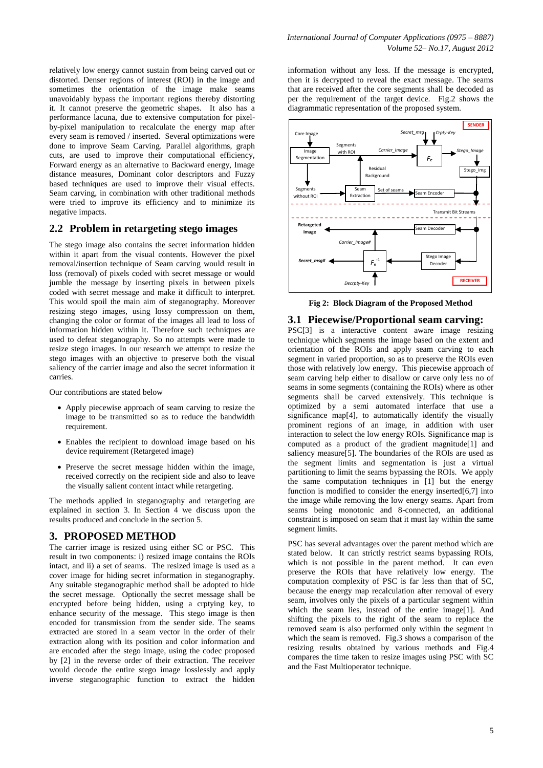relatively low energy cannot sustain from being carved out or distorted. Denser regions of interest (ROI) in the image and sometimes the orientation of the image make seams unavoidably bypass the important regions thereby distorting it. It cannot preserve the geometric shapes. It also has a performance lacuna, due to extensive computation for pixelby-pixel manipulation to recalculate the energy map after every seam is removed / inserted. Several optimizations were done to improve Seam Carving. Parallel algorithms, graph cuts, are used to improve their computational efficiency, Forward energy as an alternative to Backward energy, Image distance measures, Dominant color descriptors and Fuzzy based techniques are used to improve their visual effects. Seam carving, in combination with other traditional methods were tried to improve its efficiency and to minimize its negative impacts.

# **2.2 Problem in retargeting stego images**

The stego image also contains the secret information hidden within it apart from the visual contents. However the pixel removal/insertion technique of Seam carving would result in loss (removal) of pixels coded with secret message or would jumble the message by inserting pixels in between pixels coded with secret message and make it difficult to interpret. This would spoil the main aim of steganography. Moreover resizing stego images, using lossy compression on them, changing the color or format of the images all lead to loss of information hidden within it. Therefore such techniques are used to defeat steganography. So no attempts were made to resize stego images. In our research we attempt to resize the stego images with an objective to preserve both the visual saliency of the carrier image and also the secret information it carries.

Our contributions are stated below

- Apply piecewise approach of seam carving to resize the image to be transmitted so as to reduce the bandwidth requirement.
- Enables the recipient to download image based on his device requirement (Retargeted image)
- Preserve the secret message hidden within the image, received correctly on the recipient side and also to leave the visually salient content intact while retargeting.

The methods applied in steganography and retargeting are explained in section 3. In Section 4 we discuss upon the results produced and conclude in the section 5.

#### **3. PROPOSED METHOD**

The carrier image is resized using either SC or PSC. This result in two components: i) resized image contains the ROIs intact, and ii) a set of seams. The resized image is used as a cover image for hiding secret information in steganography. Any suitable steganographic method shall be adopted to hide the secret message. Optionally the secret message shall be encrypted before being hidden, using a crptying key, to enhance security of the message. This stego image is then encoded for transmission from the sender side. The seams extracted are stored in a seam vector in the order of their extraction along with its position and color information and are encoded after the stego image, using the codec proposed by [2] in the reverse order of their extraction. The receiver would decode the entire stego image losslessly and apply inverse steganographic function to extract the hidden

information without any loss. If the message is encrypted, then it is decrypted to reveal the exact message. The seams that are received after the core segments shall be decoded as per the requirement of the target device. Fig.2 shows the diagrammatic representation of the proposed system.



**Fig 2: Block Diagram of the Proposed Method**

#### **3.1 Piecewise/Proportional seam carving:**

PSC[3] is a interactive content aware image resizing technique which segments the image based on the extent and orientation of the ROIs and apply seam carving to each segment in varied proportion, so as to preserve the ROIs even those with relatively low energy. This piecewise approach of seam carving help either to disallow or carve only less no of seams in some segments (containing the ROIs) where as other segments shall be carved extensively. This technique is optimized by a semi automated interface that use a significance map[4], to automatically identify the visually prominent regions of an image, in addition with user interaction to select the low energy ROIs. Significance map is computed as a product of the gradient magnitude[1] and saliency measure[5]. The boundaries of the ROIs are used as the segment limits and segmentation is just a virtual partitioning to limit the seams bypassing the ROIs. We apply the same computation techniques in [1] but the energy function is modified to consider the energy inserted $[6,7]$  into the image while removing the low energy seams. Apart from seams being monotonic and 8-connected, an additional constraint is imposed on seam that it must lay within the same segment limits.

PSC has several advantages over the parent method which are stated below. It can strictly restrict seams bypassing ROIs, which is not possible in the parent method. It can even preserve the ROIs that have relatively low energy. The computation complexity of PSC is far less than that of SC, because the energy map recalculation after removal of every seam, involves only the pixels of a particular segment within which the seam lies, instead of the entire image[1]. And shifting the pixels to the right of the seam to replace the removed seam is also performed only within the segment in which the seam is removed. Fig.3 shows a comparison of the resizing results obtained by various methods and Fig.4 compares the time taken to resize images using PSC with SC and the Fast Multioperator technique.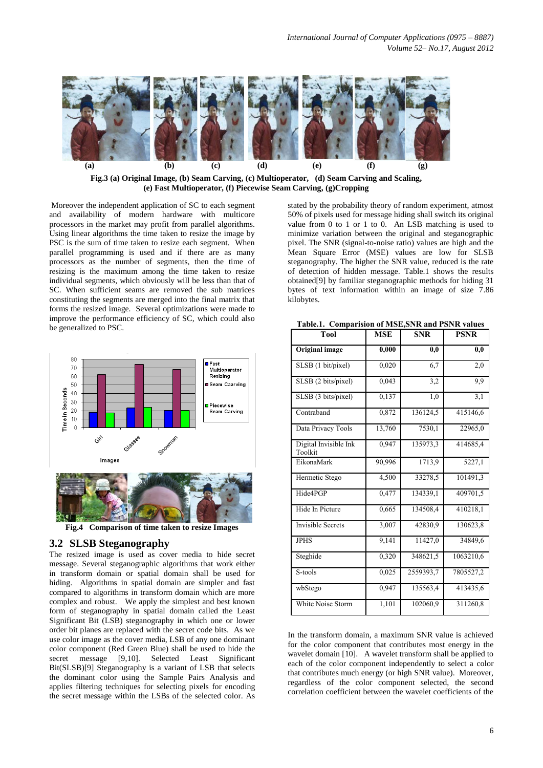

**Fig.3 (a) Original Image, (b) Seam Carving, (c) Multioperator, (d) Seam Carving and Scaling, (e) Fast Multioperator, (f) Piecewise Seam Carving, (g)Cropping**

Moreover the independent application of SC to each segment and availability of modern hardware with multicore processors in the market may profit from parallel algorithms. Using linear algorithms the time taken to resize the image by PSC is the sum of time taken to resize each segment. When parallel programming is used and if there are as many processors as the number of segments, then the time of resizing is the maximum among the time taken to resize individual segments, which obviously will be less than that of SC. When sufficient seams are removed the sub matrices constituting the segments are merged into the final matrix that forms the resized image. Several optimizations were made to improve the performance efficiency of SC, which could also be generalized to PSC.



# **3.2 SLSB Steganography**

The resized image is used as cover media to hide secret message. Several steganographic algorithms that work either in transform domain or spatial domain shall be used for hiding. Algorithms in spatial domain are simpler and fast compared to algorithms in transform domain which are more complex and robust. We apply the simplest and best known form of steganography in spatial domain called the Least Significant Bit (LSB) steganography in which one or lower order bit planes are replaced with the secret code bits. As we use color image as the cover media, LSB of any one dominant color component (Red Green Blue) shall be used to hide the secret message [9,10]. Selected Least Significant Bit(SLSB)[9] Steganography is a variant of LSB that selects the dominant color using the Sample Pairs Analysis and applies filtering techniques for selecting pixels for encoding the secret message within the LSBs of the selected color. As

stated by the probability theory of random experiment, atmost 50% of pixels used for message hiding shall switch its original value from 0 to 1 or 1 to 0. An LSB matching is used to minimize variation between the original and steganographic pixel. The SNR (signal-to-noise ratio) values are high and the Mean Square Error (MSE) values are low for SLSB steganography. The higher the SNR value, reduced is the rate of detection of hidden message. Table.1 shows the results obtained[9] by familiar steganographic methods for hiding 31 bytes of text information within an image of size 7.86 kilobytes.

**Table.1. Comparision of MSE,SNR and PSNR values**

| <b>Tool</b>                      | <b>MSE</b> | <b>SNR</b> | <b>PSNR</b> |
|----------------------------------|------------|------------|-------------|
| Original image                   | 0,000      | 0,0        | 0,0         |
| SLSB (1 bit/pixel)               | 0,020      | 6,7        | 2,0         |
| SLSB (2 bits/pixel)              | 0,043      | 3,2        | 9,9         |
| SLSB (3 bits/pixel)              | 0,137      | 1,0        | 3,1         |
| Contraband                       | 0,872      | 136124,5   | 415146,6    |
| Data Privacy Tools               | 13,760     | 7530,1     | 22965,0     |
| Digital Invisible Ink<br>Toolkit | 0,947      | 135973,3   | 414685,4    |
| EikonaMark                       | 90,996     | 1713,9     | 5227,1      |
| Hermetic Stego                   | 4,500      | 33278,5    | 101491,3    |
| Hide4PGP                         | 0,477      | 134339,1   | 409701,5    |
| Hide In Picture                  | 0,665      | 134508,4   | 410218,1    |
| <b>Invisible Secrets</b>         | 3,007      | 42830,9    | 130623,8    |
| <b>JPHS</b>                      | 9,141      | 11427,0    | 34849,6     |
| Steghide                         | 0,320      | 348621,5   | 1063210,6   |
| S-tools                          | 0,025      | 2559393,7  | 7805527,2   |
| wbStego                          | 0,947      | 135563,4   | 413435,6    |
| White Noise Storm                | 1,101      | 102060,9   | 311260,8    |

In the transform domain, a maximum SNR value is achieved for the color component that contributes most energy in the wavelet domain [10]. A wavelet transform shall be applied to each of the color component independently to select a color that contributes much energy (or high SNR value). Moreover, regardless of the color component selected, the second correlation coefficient between the wavelet coefficients of the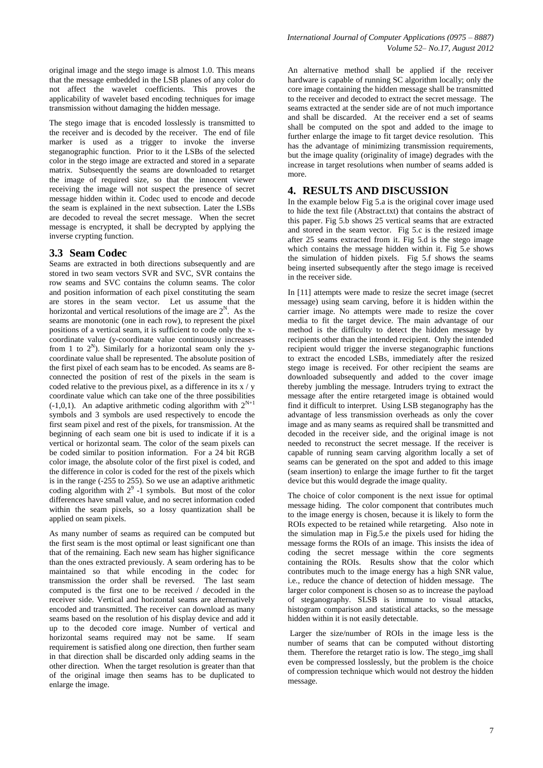original image and the stego image is almost 1.0. This means that the message embedded in the LSB planes of any color do not affect the wavelet coefficients. This proves the applicability of wavelet based encoding techniques for image transmission without damaging the hidden message.

The stego image that is encoded losslessly is transmitted to the receiver and is decoded by the receiver. The end of file marker is used as a trigger to invoke the inverse steganographic function. Prior to it the LSBs of the selected color in the stego image are extracted and stored in a separate matrix. Subsequently the seams are downloaded to retarget the image of required size, so that the innocent viewer receiving the image will not suspect the presence of secret message hidden within it. Codec used to encode and decode the seam is explained in the next subsection. Later the LSBs are decoded to reveal the secret message. When the secret message is encrypted, it shall be decrypted by applying the inverse crypting function.

#### **3.3 Seam Codec**

Seams are extracted in both directions subsequently and are stored in two seam vectors SVR and SVC, SVR contains the row seams and SVC contains the column seams. The color and position information of each pixel constituting the seam are stores in the seam vector. Let us assume that the horizontal and vertical resolutions of the image are  $2^N$ . As the seams are monotonic (one in each row), to represent the pixel positions of a vertical seam, it is sufficient to code only the xcoordinate value (y-coordinate value continuously increases from 1 to  $2^N$ ). Similarly for a horizontal seam only the ycoordinate value shall be represented. The absolute position of the first pixel of each seam has to be encoded. As seams are 8 connected the position of rest of the pixels in the seam is coded relative to the previous pixel, as a difference in its  $x / y$ coordinate value which can take one of the three possibilities  $(-1,0,1)$ . An adaptive arithmetic coding algorithm with  $2^{N+1}$ symbols and 3 symbols are used respectively to encode the first seam pixel and rest of the pixels, for transmission. At the beginning of each seam one bit is used to indicate if it is a vertical or horizontal seam. The color of the seam pixels can be coded similar to position information. For a 24 bit RGB color image, the absolute color of the first pixel is coded, and the difference in color is coded for the rest of the pixels which is in the range (-255 to 255). So we use an adaptive arithmetic coding algorithm with  $2^9$  -1 symbols. But most of the color differences have small value, and no secret information coded within the seam pixels, so a lossy quantization shall be applied on seam pixels.

As many number of seams as required can be computed but the first seam is the most optimal or least significant one than that of the remaining. Each new seam has higher significance than the ones extracted previously. A seam ordering has to be maintained so that while encoding in the codec for transmission the order shall be reversed. The last seam computed is the first one to be received / decoded in the receiver side. Vertical and horizontal seams are alternatively encoded and transmitted. The receiver can download as many seams based on the resolution of his display device and add it up to the decoded core image. Number of vertical and horizontal seams required may not be same. If seam requirement is satisfied along one direction, then further seam in that direction shall be discarded only adding seams in the other direction. When the target resolution is greater than that of the original image then seams has to be duplicated to enlarge the image.

An alternative method shall be applied if the receiver hardware is capable of running SC algorithm locally; only the core image containing the hidden message shall be transmitted to the receiver and decoded to extract the secret message. The seams extracted at the sender side are of not much importance and shall be discarded. At the receiver end a set of seams shall be computed on the spot and added to the image to further enlarge the image to fit target device resolution. This has the advantage of minimizing transmission requirements, but the image quality (originality of image) degrades with the increase in target resolutions when number of seams added is more.

#### **4. RESULTS AND DISCUSSION**

In the example below Fig 5.a is the original cover image used to hide the text file (Abstract.txt) that contains the abstract of this paper. Fig 5.b shows 25 vertical seams that are extracted and stored in the seam vector. Fig 5.c is the resized image after 25 seams extracted from it. Fig 5.d is the stego image which contains the message hidden within it. Fig 5.e shows the simulation of hidden pixels. Fig 5.f shows the seams being inserted subsequently after the stego image is received in the receiver side.

In [11] attempts were made to resize the secret image (secret message) using seam carving, before it is hidden within the carrier image. No attempts were made to resize the cover media to fit the target device. The main advantage of our method is the difficulty to detect the hidden message by recipients other than the intended recipient. Only the intended recipient would trigger the inverse steganographic functions to extract the encoded LSBs, immediately after the resized stego image is received. For other recipient the seams are downloaded subsequently and added to the cover image thereby jumbling the message. Intruders trying to extract the message after the entire retargeted image is obtained would find it difficult to interpret. Using LSB steganography has the advantage of less transmission overheads as only the cover image and as many seams as required shall be transmitted and decoded in the receiver side, and the original image is not needed to reconstruct the secret message. If the receiver is capable of running seam carving algorithm locally a set of seams can be generated on the spot and added to this image (seam insertion) to enlarge the image further to fit the target device but this would degrade the image quality.

The choice of color component is the next issue for optimal message hiding. The color component that contributes much to the image energy is chosen, because it is likely to form the ROIs expected to be retained while retargeting. Also note in the simulation map in Fig.5.e the pixels used for hiding the message forms the ROIs of an image. This insists the idea of coding the secret message within the core segments containing the ROIs. Results show that the color which contributes much to the image energy has a high SNR value, i.e., reduce the chance of detection of hidden message. The larger color component is chosen so as to increase the payload of steganography. SLSB is immune to visual attacks, histogram comparison and statistical attacks, so the message hidden within it is not easily detectable.

Larger the size/number of ROIs in the image less is the number of seams that can be computed without distorting them. Therefore the retarget ratio is low. The stego\_img shall even be compressed losslessly, but the problem is the choice of compression technique which would not destroy the hidden message.